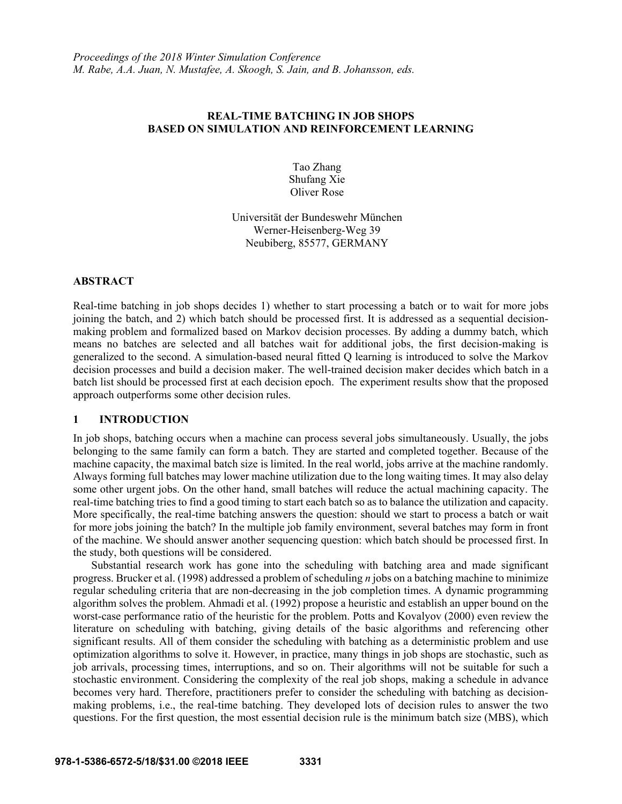# **REAL-TIME BATCHING IN JOB SHOPS BASED ON SIMULATION AND REINFORCEMENT LEARNING**

Tao Zhang Shufang Xie Oliver Rose

Universität der Bundeswehr München Werner-Heisenberg-Weg 39 Neubiberg, 85577, GERMANY

## **ABSTRACT**

Real-time batching in job shops decides 1) whether to start processing a batch or to wait for more jobs joining the batch, and 2) which batch should be processed first. It is addressed as a sequential decisionmaking problem and formalized based on Markov decision processes. By adding a dummy batch, which means no batches are selected and all batches wait for additional jobs, the first decision-making is generalized to the second. A simulation-based neural fitted Q learning is introduced to solve the Markov decision processes and build a decision maker. The well-trained decision maker decides which batch in a batch list should be processed first at each decision epoch. The experiment results show that the proposed approach outperforms some other decision rules.

# **1 INTRODUCTION**

In job shops, batching occurs when a machine can process several jobs simultaneously. Usually, the jobs belonging to the same family can form a batch. They are started and completed together. Because of the machine capacity, the maximal batch size is limited. In the real world, jobs arrive at the machine randomly. Always forming full batches may lower machine utilization due to the long waiting times. It may also delay some other urgent jobs. On the other hand, small batches will reduce the actual machining capacity. The real-time batching tries to find a good timing to start each batch so as to balance the utilization and capacity. More specifically, the real-time batching answers the question: should we start to process a batch or wait for more jobs joining the batch? In the multiple job family environment, several batches may form in front of the machine. We should answer another sequencing question: which batch should be processed first. In the study, both questions will be considered.

Substantial research work has gone into the scheduling with batching area and made significant progress. Brucker et al. (1998) addressed a problem of scheduling *n* jobs on a batching machine to minimize regular scheduling criteria that are non-decreasing in the job completion times. A dynamic programming algorithm solves the problem. Ahmadi et al. (1992) propose a heuristic and establish an upper bound on the worst-case performance ratio of the heuristic for the problem. Potts and Kovalyov (2000) even review the literature on scheduling with batching, giving details of the basic algorithms and referencing other significant results. All of them consider the scheduling with batching as a deterministic problem and use optimization algorithms to solve it. However, in practice, many things in job shops are stochastic, such as job arrivals, processing times, interruptions, and so on. Their algorithms will not be suitable for such a stochastic environment. Considering the complexity of the real job shops, making a schedule in advance becomes very hard. Therefore, practitioners prefer to consider the scheduling with batching as decisionmaking problems, i.e., the real-time batching. They developed lots of decision rules to answer the two questions. For the first question, the most essential decision rule is the minimum batch size (MBS), which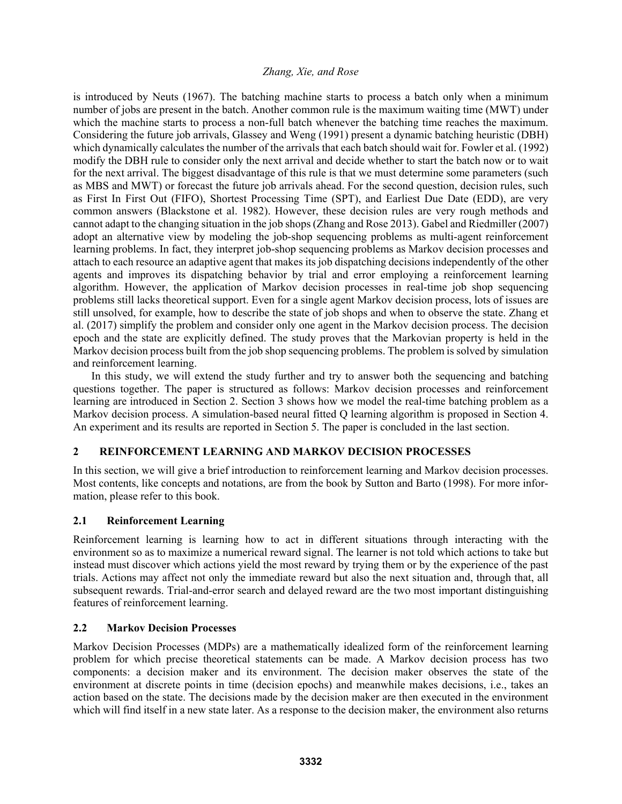is introduced by Neuts (1967). The batching machine starts to process a batch only when a minimum number of jobs are present in the batch. Another common rule is the maximum waiting time (MWT) under which the machine starts to process a non-full batch whenever the batching time reaches the maximum. Considering the future job arrivals, Glassey and Weng (1991) present a dynamic batching heuristic (DBH) which dynamically calculates the number of the arrivals that each batch should wait for. Fowler et al. (1992) modify the DBH rule to consider only the next arrival and decide whether to start the batch now or to wait for the next arrival. The biggest disadvantage of this rule is that we must determine some parameters (such as MBS and MWT) or forecast the future job arrivals ahead. For the second question, decision rules, such as First In First Out (FIFO), Shortest Processing Time (SPT), and Earliest Due Date (EDD), are very common answers (Blackstone et al. 1982). However, these decision rules are very rough methods and cannot adapt to the changing situation in the job shops (Zhang and Rose 2013). Gabel and Riedmiller (2007) adopt an alternative view by modeling the job-shop sequencing problems as multi-agent reinforcement learning problems. In fact, they interpret job-shop sequencing problems as Markov decision processes and attach to each resource an adaptive agent that makes its job dispatching decisions independently of the other agents and improves its dispatching behavior by trial and error employing a reinforcement learning algorithm. However, the application of Markov decision processes in real-time job shop sequencing problems still lacks theoretical support. Even for a single agent Markov decision process, lots of issues are still unsolved, for example, how to describe the state of job shops and when to observe the state. Zhang et al. (2017) simplify the problem and consider only one agent in the Markov decision process. The decision epoch and the state are explicitly defined. The study proves that the Markovian property is held in the Markov decision process built from the job shop sequencing problems. The problem is solved by simulation and reinforcement learning.

In this study, we will extend the study further and try to answer both the sequencing and batching questions together. The paper is structured as follows: Markov decision processes and reinforcement learning are introduced in Section 2. Section 3 shows how we model the real-time batching problem as a Markov decision process. A simulation-based neural fitted Q learning algorithm is proposed in Section 4. An experiment and its results are reported in Section 5. The paper is concluded in the last section.

# **2 REINFORCEMENT LEARNING AND MARKOV DECISION PROCESSES**

In this section, we will give a brief introduction to reinforcement learning and Markov decision processes. Most contents, like concepts and notations, are from the book by Sutton and Barto (1998). For more information, please refer to this book.

# **2.1 Reinforcement Learning**

Reinforcement learning is learning how to act in different situations through interacting with the environment so as to maximize a numerical reward signal. The learner is not told which actions to take but instead must discover which actions yield the most reward by trying them or by the experience of the past trials. Actions may affect not only the immediate reward but also the next situation and, through that, all subsequent rewards. Trial-and-error search and delayed reward are the two most important distinguishing features of reinforcement learning.

# **2.2 Markov Decision Processes**

Markov Decision Processes (MDPs) are a mathematically idealized form of the reinforcement learning problem for which precise theoretical statements can be made. A Markov decision process has two components: a decision maker and its environment. The decision maker observes the state of the environment at discrete points in time (decision epochs) and meanwhile makes decisions, i.e., takes an action based on the state. The decisions made by the decision maker are then executed in the environment which will find itself in a new state later. As a response to the decision maker, the environment also returns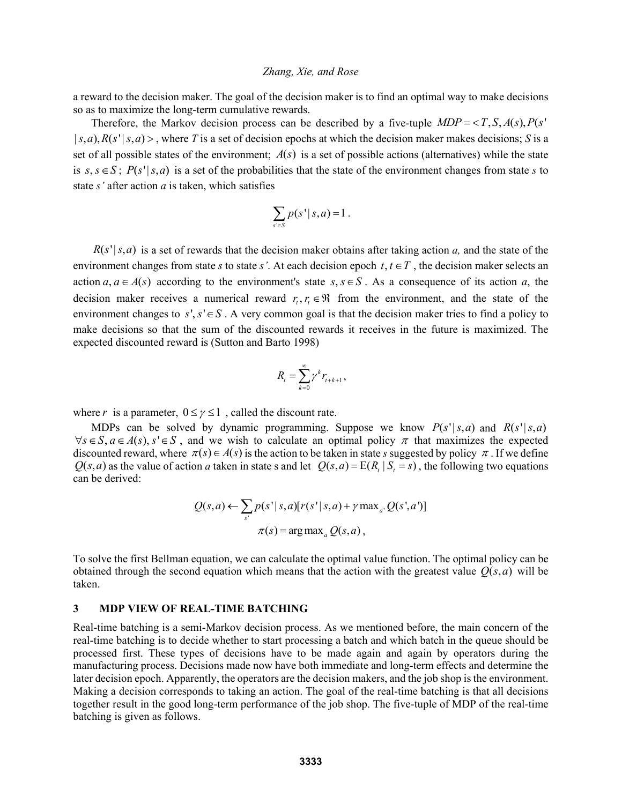a reward to the decision maker. The goal of the decision maker is to find an optimal way to make decisions so as to maximize the long-term cumulative rewards.

Therefore, the Markov decision process can be described by a five-tuple  $MDP = \langle T, S, A(s), P(s) \rangle$  $|s, a\rangle$ ,  $R(s'|s, a)$ , where *T* is a set of decision epochs at which the decision maker makes decisions; *S* is a set of all possible states of the environment;  $A(s)$  is a set of possible actions (alternatives) while the state is  $s, s \in S$ ;  $P(s' | s, a)$  is a set of the probabilities that the state of the environment changes from state *s* to state *s'* after action *a* is taken, which satisfies

$$
\sum_{s\in S} p(s' | s, a) = 1.
$$

 $R(s' | s, a)$  is a set of rewards that the decision maker obtains after taking action *a*, and the state of the environment changes from state *s* to state *s'*. At each decision epoch  $t, t \in T$ , the decision maker selects an action  $a, a \in A(s)$  according to the environment's state  $s, s \in S$ . As a consequence of its action *a*, the decision maker receives a numerical reward  $r, r \in \mathbb{R}$  from the environment, and the state of the environment changes to  $s', s' \in S$ . A very common goal is that the decision maker tries to find a policy to make decisions so that the sum of the discounted rewards it receives in the future is maximized. The expected discounted reward is (Sutton and Barto 1998)

$$
R_t = \sum_{k=0}^{\infty} \gamma^k r_{t+k+1},
$$

where *r* is a parameter,  $0 \le \gamma \le 1$ , called the discount rate.

MDPs can be solved by dynamic programming. Suppose we know  $P(s'|s,a)$  and  $R(s'|s,a)$  $\forall s \in S, a \in A(s), s' \in S$ , and we wish to calculate an optimal policy  $\pi$  that maximizes the expected discounted reward, where  $\pi(s) \in A(s)$  is the action to be taken in state *s* suggested by policy  $\pi$ . If we define  $Q(s, a)$  as the value of action *a* taken in state s and let  $Q(s, a) = E(R, |S| = s)$ , the following two equations can be derived:

$$
Q(s,a) \leftarrow \sum_{s'} p(s' | s,a) [r(s' | s,a) + \gamma \max_{a'} Q(s',a')]
$$

$$
\pi(s) = \arg \max_{a'} Q(s,a),
$$

To solve the first Bellman equation, we can calculate the optimal value function. The optimal policy can be obtained through the second equation which means that the action with the greatest value  $Q(s, a)$  will be taken.

## **3 MDP VIEW OF REAL-TIME BATCHING**

Real-time batching is a semi-Markov decision process. As we mentioned before, the main concern of the real-time batching is to decide whether to start processing a batch and which batch in the queue should be processed first. These types of decisions have to be made again and again by operators during the manufacturing process. Decisions made now have both immediate and long-term effects and determine the later decision epoch. Apparently, the operators are the decision makers, and the job shop is the environment. Making a decision corresponds to taking an action. The goal of the real-time batching is that all decisions together result in the good long-term performance of the job shop. The five-tuple of MDP of the real-time batching is given as follows.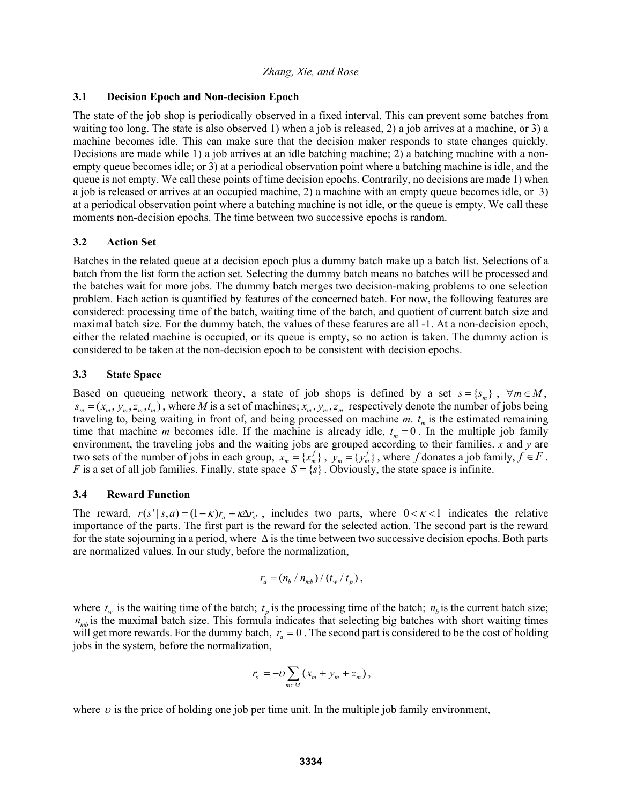## **3.1 Decision Epoch and Non-decision Epoch**

The state of the job shop is periodically observed in a fixed interval. This can prevent some batches from waiting too long. The state is also observed 1) when a job is released, 2) a job arrives at a machine, or 3) a machine becomes idle. This can make sure that the decision maker responds to state changes quickly. Decisions are made while 1) a job arrives at an idle batching machine; 2) a batching machine with a nonempty queue becomes idle; or 3) at a periodical observation point where a batching machine is idle, and the queue is not empty. We call these points of time decision epochs. Contrarily, no decisions are made 1) when a job is released or arrives at an occupied machine, 2) a machine with an empty queue becomes idle, or 3) at a periodical observation point where a batching machine is not idle, or the queue is empty. We call these moments non-decision epochs. The time between two successive epochs is random.

#### **3.2 Action Set**

Batches in the related queue at a decision epoch plus a dummy batch make up a batch list. Selections of a batch from the list form the action set. Selecting the dummy batch means no batches will be processed and the batches wait for more jobs. The dummy batch merges two decision-making problems to one selection problem. Each action is quantified by features of the concerned batch. For now, the following features are considered: processing time of the batch, waiting time of the batch, and quotient of current batch size and maximal batch size. For the dummy batch, the values of these features are all -1. At a non-decision epoch, either the related machine is occupied, or its queue is empty, so no action is taken. The dummy action is considered to be taken at the non-decision epoch to be consistent with decision epochs.

#### **3.3 State Space**

Based on queueing network theory, a state of job shops is defined by a set  $s = \{ s_m \}$ ,  $\forall m \in M$ ,  $s_m = (x_m, y_m, z_m, t_m)$ , where *M* is a set of machines;  $x_m, y_m, z_m$  respectively denote the number of jobs being traveling to, being waiting in front of, and being processed on machine  $m$ .  $t_m$  is the estimated remaining time that machine *m* becomes idle. If the machine is already idle,  $t_m = 0$ . In the multiple job family environment, the traveling jobs and the waiting jobs are grouped according to their families. *x* and *y* are two sets of the number of jobs in each group,  $x_m = \{x_m^f\}$ ,  $y_m = \{y_m^f\}$ , where *f* donates a job family,  $f \in F$ . *F* is a set of all job families. Finally, state space  $S = \{s\}$ . Obviously, the state space is infinite.

## **3.4 Reward Function**

The reward,  $r(s' | s, a) = (1 - \kappa)r_a + \kappa \Delta r_{s'}$ , includes two parts, where  $0 < \kappa < 1$  indicates the relative importance of the parts. The first part is the reward for the selected action. The second part is the reward for the state sojourning in a period, where  $\Delta$  is the time between two successive decision epochs. Both parts are normalized values. In our study, before the normalization,

$$
r_a = (n_b / n_{mb}) / (t_w / t_p),
$$

where  $t_w$  is the waiting time of the batch;  $t_p$  is the processing time of the batch;  $n_b$  is the current batch size;  $n<sub>mb</sub>$  is the maximal batch size. This formula indicates that selecting big batches with short waiting times will get more rewards. For the dummy batch,  $r_a = 0$ . The second part is considered to be the cost of holding jobs in the system, before the normalization,

$$
r_{s'} = -U \sum_{m \in M} \left( x_m + y_m + z_m \right),
$$

where  $\nu$  is the price of holding one job per time unit. In the multiple job family environment,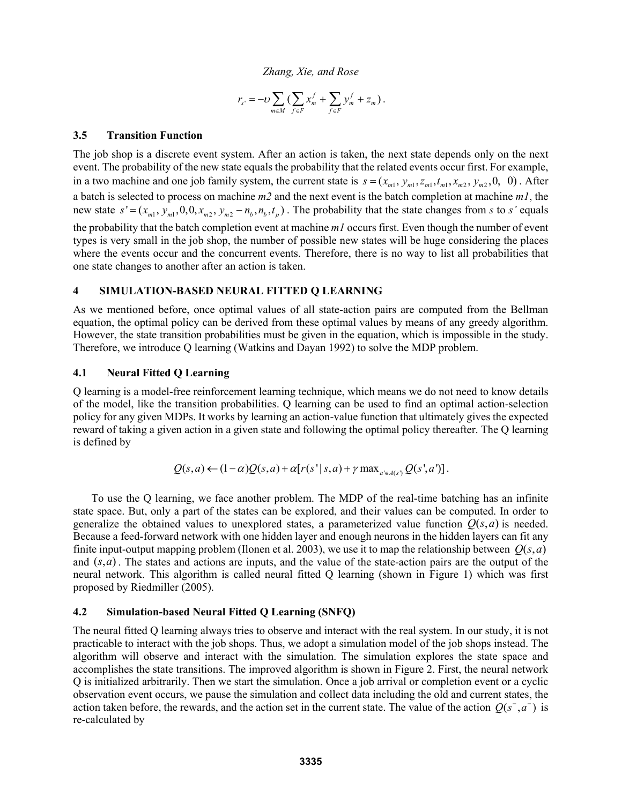$$
r_{s'} = -U\sum_{m \in M} \left( \sum_{f \in F} x_m^f + \sum_{f \in F} y_m^f + z_m \right).
$$

## **3.5 Transition Function**

The job shop is a discrete event system. After an action is taken, the next state depends only on the next event. The probability of the new state equals the probability that the related events occur first. For example, in a two machine and one job family system, the current state is  $s = (x_{m1}, y_{m1}, z_{m1}, t_{m1}, x_{m2}, y_{m2}, 0, 0)$ . After a batch is selected to process on machine *m2* and the next event is the batch completion at machine *m1*, the new state  $s' = (x_{m1}, y_{m1}, 0, 0, x_{m2}, y_{m2} - n_h, n_h, t_n)$ . The probability that the state changes from *s* to *s'* equals the probability that the batch completion event at machine *m1* occurs first. Even though the number of event types is very small in the job shop, the number of possible new states will be huge considering the places where the events occur and the concurrent events. Therefore, there is no way to list all probabilities that one state changes to another after an action is taken.

# **4 SIMULATION-BASED NEURAL FITTED Q LEARNING**

As we mentioned before, once optimal values of all state-action pairs are computed from the Bellman equation, the optimal policy can be derived from these optimal values by means of any greedy algorithm. However, the state transition probabilities must be given in the equation, which is impossible in the study. Therefore, we introduce Q learning (Watkins and Dayan 1992) to solve the MDP problem.

#### **4.1 Neural Fitted Q Learning**

Q learning is a model-free reinforcement learning technique, which means we do not need to know details of the model, like the transition probabilities. Q learning can be used to find an optimal action-selection policy for any given MDPs. It works by learning an action-value function that ultimately gives the expected reward of taking a given action in a given state and following the optimal policy thereafter. The Q learning is defined by

$$
Q(s,a) \leftarrow (1-\alpha)Q(s,a) + \alpha[r(s' | s,a) + \gamma \max_{a' \in A(s')} Q(s',a')].
$$

To use the Q learning, we face another problem. The MDP of the real-time batching has an infinite state space. But, only a part of the states can be explored, and their values can be computed. In order to generalize the obtained values to unexplored states, a parameterized value function  $Q(s, a)$  is needed. Because a feed-forward network with one hidden layer and enough neurons in the hidden layers can fit any finite input-output mapping problem (Ilonen et al. 2003), we use it to map the relationship between  $O(s, a)$ and  $(s, a)$ . The states and actions are inputs, and the value of the state-action pairs are the output of the neural network. This algorithm is called neural fitted Q learning (shown in Figure 1) which was first proposed by Riedmiller (2005).

## **4.2 Simulation-based Neural Fitted Q Learning (SNFQ)**

The neural fitted Q learning always tries to observe and interact with the real system. In our study, it is not practicable to interact with the job shops. Thus, we adopt a simulation model of the job shops instead. The algorithm will observe and interact with the simulation. The simulation explores the state space and accomplishes the state transitions. The improved algorithm is shown in Figure 2. First, the neural network Q is initialized arbitrarily. Then we start the simulation. Once a job arrival or completion event or a cyclic observation event occurs, we pause the simulation and collect data including the old and current states, the action taken before, the rewards, and the action set in the current state. The value of the action  $Q(s^-, a^-)$  is re-calculated by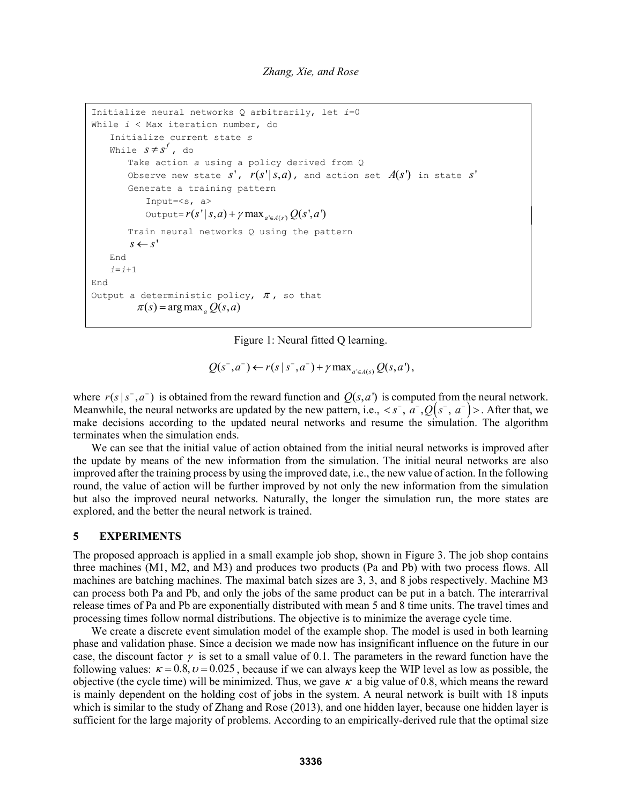```
Initialize neural networks Q arbitrarily, let i=0 
While i < Max iteration number, do 
    Initialize current state s
   While s \neq s^f, do
        Take action a using a policy derived from Q 
       Observe new state S', r(s' | s, a), and action set A(s') in state S'
        Generate a training pattern 
            Input=<s, a> 
           \text{Output} = r(s' | s, a) + \gamma \max_{a' \in A(s')} Q(s', a') Train neural networks Q using the pattern 
        s \leftarrow s' End 
    i=i+1 
End 
Output a deterministic policy, \pi, so that
         \pi(s) = arg max Q(s, a)
```
Figure 1: Neural fitted Q learning.

 $Q(s^-, a^-) \leftarrow r(s | s^-, a^-) + \gamma \max_{a' \in A(s)} Q(s, a'),$ 

where  $r(s | s^-, a^-)$  is obtained from the reward function and  $Q(s, a')$  is computed from the neural network. Meanwhile, the neural networks are updated by the new pattern, i.e.,  $\langle s^-, a^-, Q(s^-, a^-) \rangle$ . After that, we make decisions according to the updated neural networks and resume the simulation. The algorithm terminates when the simulation ends.

We can see that the initial value of action obtained from the initial neural networks is improved after the update by means of the new information from the simulation. The initial neural networks are also improved after the training process by using the improved date, i.e., the new value of action. In the following round, the value of action will be further improved by not only the new information from the simulation but also the improved neural networks. Naturally, the longer the simulation run, the more states are explored, and the better the neural network is trained.

#### **5 EXPERIMENTS**

The proposed approach is applied in a small example job shop, shown in Figure 3. The job shop contains three machines (M1, M2, and M3) and produces two products (Pa and Pb) with two process flows. All machines are batching machines. The maximal batch sizes are 3, 3, and 8 jobs respectively. Machine M3 can process both Pa and Pb, and only the jobs of the same product can be put in a batch. The interarrival release times of Pa and Pb are exponentially distributed with mean 5 and 8 time units. The travel times and processing times follow normal distributions. The objective is to minimize the average cycle time.

We create a discrete event simulation model of the example shop. The model is used in both learning phase and validation phase. Since a decision we made now has insignificant influence on the future in our case, the discount factor  $\gamma$  is set to a small value of 0.1. The parameters in the reward function have the following values:  $\kappa = 0.8$ ,  $\nu = 0.025$ , because if we can always keep the WIP level as low as possible, the objective (the cycle time) will be minimized. Thus, we gave  $\kappa$  a big value of 0.8, which means the reward is mainly dependent on the holding cost of jobs in the system. A neural network is built with 18 inputs which is similar to the study of Zhang and Rose (2013), and one hidden layer, because one hidden layer is sufficient for the large majority of problems. According to an empirically-derived rule that the optimal size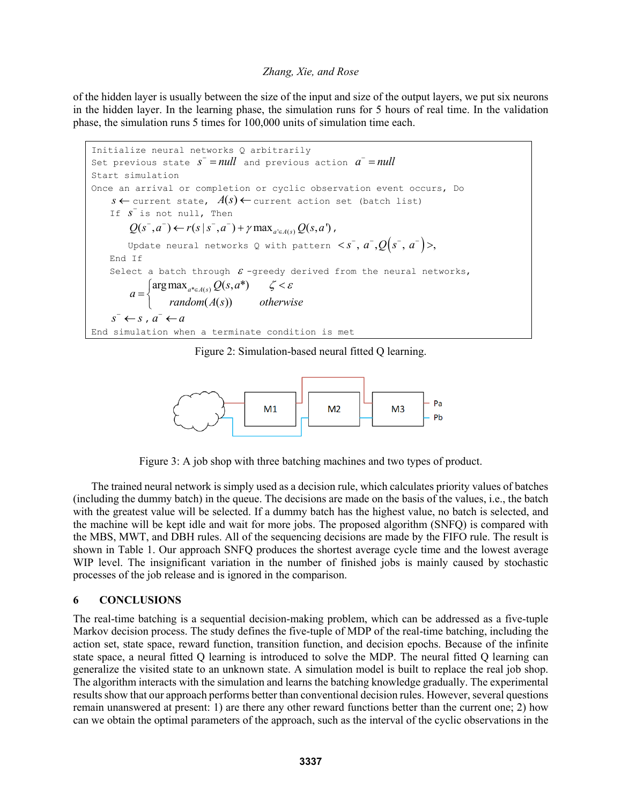of the hidden layer is usually between the size of the input and size of the output layers, we put six neurons in the hidden layer. In the learning phase, the simulation runs for 5 hours of real time. In the validation phase, the simulation runs 5 times for 100,000 units of simulation time each.

```
Initialize neural networks Q arbitrarily 
Set previous state s^-=null and previous action a^-=nullStart simulation 
Once an arrival or completion or cyclic observation event occurs, Do 
     s \leftarrow current state, A(s) \leftarrow current action set (batch list)
 If s
 is not null, Then 
           Q(s^-, a^-) \leftarrow r(s | s^-, a^-) + \gamma \max_{a' \in A(s)} Q(s, a'),
          Update neural networks Q with pattern \langle s^-, a^-, Q(s^-, a^-) \rangle,
     End If 
     Select a batch through \varepsilon -greedy derived from the neural networks,
a = \begin{cases} \arg \max_{a^* \in A(s)} Q(s, a^*) \\ 0 \leq a \leq a \end{cases}(A(s))a = \begin{cases} \argmax_{a^* \in A(s)} Q(s, a) \end{cases}= \begin{cases} \argmax_{a^* \in A(s)} Q(s,a^*) & \text{if } s < \varepsilon \\ random(A(s)) & otherwise \end{cases}\overline{\mathcal{L}}s^- \leftarrow s, a^- \leftarrow aEnd simulation when a terminate condition is met
```
Figure 2: Simulation-based neural fitted Q learning.



Figure 3: A job shop with three batching machines and two types of product.

The trained neural network is simply used as a decision rule, which calculates priority values of batches (including the dummy batch) in the queue. The decisions are made on the basis of the values, i.e., the batch with the greatest value will be selected. If a dummy batch has the highest value, no batch is selected, and the machine will be kept idle and wait for more jobs. The proposed algorithm (SNFQ) is compared with the MBS, MWT, and DBH rules. All of the sequencing decisions are made by the FIFO rule. The result is shown in Table 1. Our approach SNFQ produces the shortest average cycle time and the lowest average WIP level. The insignificant variation in the number of finished jobs is mainly caused by stochastic processes of the job release and is ignored in the comparison.

#### **6 CONCLUSIONS**

The real-time batching is a sequential decision-making problem, which can be addressed as a five-tuple Markov decision process. The study defines the five-tuple of MDP of the real-time batching, including the action set, state space, reward function, transition function, and decision epochs. Because of the infinite state space, a neural fitted Q learning is introduced to solve the MDP. The neural fitted Q learning can generalize the visited state to an unknown state. A simulation model is built to replace the real job shop. The algorithm interacts with the simulation and learns the batching knowledge gradually. The experimental results show that our approach performs better than conventional decision rules. However, several questions remain unanswered at present: 1) are there any other reward functions better than the current one; 2) how can we obtain the optimal parameters of the approach, such as the interval of the cyclic observations in the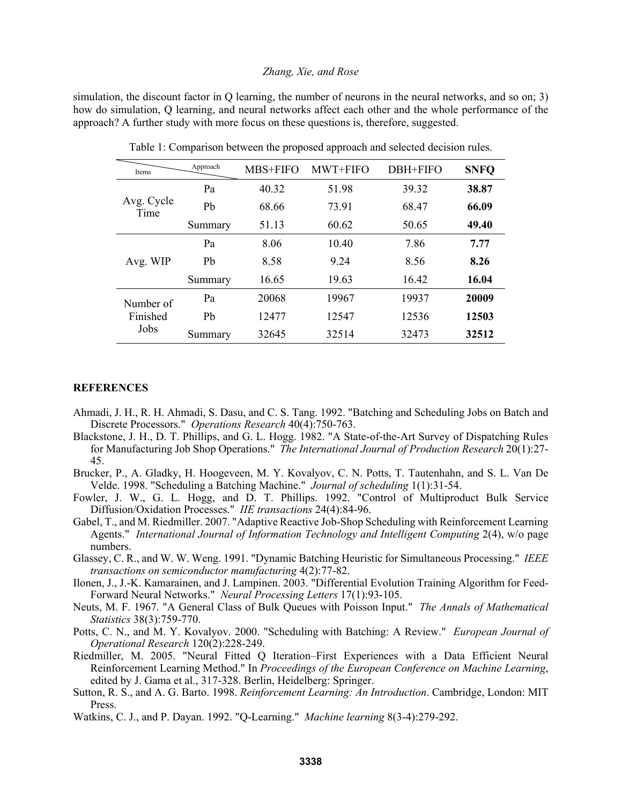simulation, the discount factor in Q learning, the number of neurons in the neural networks, and so on; 3) how do simulation, Q learning, and neural networks affect each other and the whole performance of the approach? A further study with more focus on these questions is, therefore, suggested.

| Items                         | Approach       | MBS+FIFO | MWT+FIFO | DBH+FIFO | <b>SNFQ</b> |
|-------------------------------|----------------|----------|----------|----------|-------------|
| Avg. Cycle<br>Time            | Pa             | 40.32    | 51.98    | 39.32    | 38.87       |
|                               | Ph             | 68.66    | 73.91    | 68.47    | 66.09       |
|                               | Summary        | 51.13    | 60.62    | 50.65    | 49.40       |
| Avg. WIP                      | P <sub>a</sub> | 8.06     | 10.40    | 7.86     | 7.77        |
|                               | Ph             | 8.58     | 9.24     | 8.56     | 8.26        |
|                               | Summary        | 16.65    | 19.63    | 16.42    | 16.04       |
| Number of<br>Finished<br>Jobs | Pa             | 20068    | 19967    | 19937    | 20009       |
|                               | Ph             | 12477    | 12547    | 12536    | 12503       |
|                               | Summary        | 32645    | 32514    | 32473    | 32512       |

Table 1: Comparison between the proposed approach and selected decision rules.

#### **REFERENCES**

- Ahmadi, J. H., R. H. Ahmadi, S. Dasu, and C. S. Tang. 1992. "Batching and Scheduling Jobs on Batch and Discrete Processors." *Operations Research* 40(4):750-763.
- Blackstone, J. H., D. T. Phillips, and G. L. Hogg. 1982. "A State-of-the-Art Survey of Dispatching Rules for Manufacturing Job Shop Operations." *The International Journal of Production Research* 20(1):27- 45.
- Brucker, P., A. Gladky, H. Hoogeveen, M. Y. Kovalyov, C. N. Potts, T. Tautenhahn, and S. L. Van De Velde. 1998. "Scheduling a Batching Machine." *Journal of scheduling* 1(1):31-54.
- Fowler, J. W., G. L. Hogg, and D. T. Phillips. 1992. "Control of Multiproduct Bulk Service Diffusion/Oxidation Processes." *IIE transactions* 24(4):84-96.
- Gabel, T., and M. Riedmiller. 2007. "Adaptive Reactive Job-Shop Scheduling with Reinforcement Learning Agents." *International Journal of Information Technology and Intelligent Computing* 2(4), w/o page numbers.
- Glassey, C. R., and W. W. Weng. 1991. "Dynamic Batching Heuristic for Simultaneous Processing." *IEEE transactions on semiconductor manufacturing* 4(2):77-82.
- Ilonen, J., J.-K. Kamarainen, and J. Lampinen. 2003. "Differential Evolution Training Algorithm for Feed-Forward Neural Networks." *Neural Processing Letters* 17(1):93-105.
- Neuts, M. F. 1967. "A General Class of Bulk Queues with Poisson Input." *The Annals of Mathematical Statistics* 38(3):759-770.
- Potts, C. N., and M. Y. Kovalyov. 2000. "Scheduling with Batching: A Review." *European Journal of Operational Research* 120(2):228-249.
- Riedmiller, M. 2005. "Neural Fitted Q Iteration–First Experiences with a Data Efficient Neural Reinforcement Learning Method." In *Proceedings of the European Conference on Machine Learning*, edited by J. Gama et al., 317-328. Berlin, Heidelberg: Springer.
- Sutton, R. S., and A. G. Barto. 1998. *Reinforcement Learning: An Introduction*. Cambridge, London: MIT Press.
- Watkins, C. J., and P. Dayan. 1992. "Q-Learning." *Machine learning* 8(3-4):279-292.